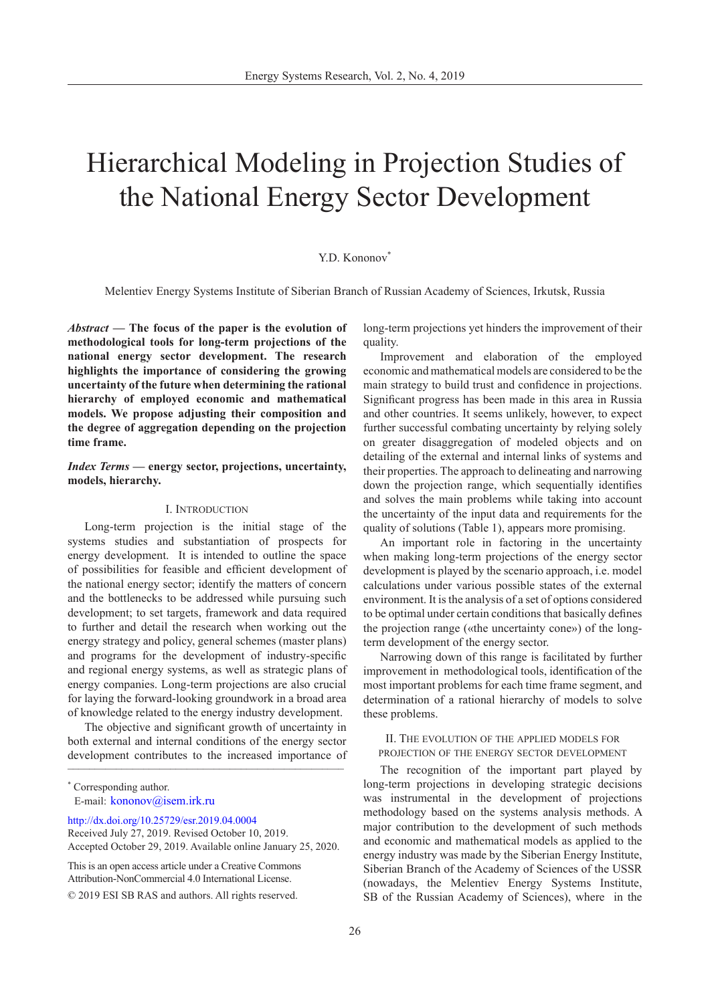# Hierarchical Modeling in Projection Studies of the National Energy Sector Development

## Y.D. Kononov<sup>\*</sup>

Melentiev Energy Systems Institute of Siberian Branch of Russian Academy of Sciences, Irkutsk, Russia

*Abstract* **— The focus of the paper is the evolution of methodological tools for long-term projections of the national energy sector development. The research highlights the importance of considering the growing uncertainty of the future when determining the rational hierarchy of employed economic and mathematical models. We propose adjusting their composition and the degree of aggregation depending on the projection time frame.**

## *Index Terms* **— energy sector, projections, uncertainty, models, hierarchy.**

#### I. Introduction

Long-term projection is the initial stage of the systems studies and substantiation of prospects for energy development. It is intended to outline the space of possibilities for feasible and efficient development of the national energy sector; identify the matters of concern and the bottlenecks to be addressed while pursuing such development; to set targets, framework and data required to further and detail the research when working out the energy strategy and policy, general schemes (master plans) and programs for the development of industry-specific and regional energy systems, as well as strategic plans of energy companies. Long-term projections are also crucial for laying the forward-looking groundwork in a broad area of knowledge related to the energy industry development.

 $\sim$ The objective and significant growth of uncertainty in both external and internal conditions of the energy sector development contributes to the increased importance of

[http://dx.doi.org/10.25729/esr.2019.04.000](http://dx.doi.org/10.25729/esr.2019.04.0004)4

This is an open access article under a Creative Commons Attribution-NonCommercial 4.0 International License. © 2019 ESI SB RAS and authors. All rights reserved.

long-term projections yet hinders the improvement of their quality.

Improvement and elaboration of the employed economic and mathematical models are considered to be the main strategy to build trust and confidence in projections. Significant progress has been made in this area in Russia and other countries. It seems unlikely, however, to expect further successful combating uncertainty by relying solely on greater disaggregation of modeled objects and on detailing of the external and internal links of systems and their properties. The approach to delineating and narrowing down the projection range, which sequentially identifies and solves the main problems while taking into account the uncertainty of the input data and requirements for the quality of solutions (Table 1), appears more promising.

An important role in factoring in the uncertainty when making long-term projections of the energy sector development is played by the scenario approach, i.e. model calculations under various possible states of the external environment. It is the analysis of a set of options considered to be optimal under certain conditions that basically defines the projection range («the uncertainty cone») of the longterm development of the energy sector.

Narrowing down of this range is facilitated by further improvement in methodological tools, identification of the most important problems for each time frame segment, and determination of a rational hierarchy of models to solve these problems.

## II. The evolution of the applied models for projection of the energy sector development

The recognition of the important part played by long-term projections in developing strategic decisions was instrumental in the development of projections methodology based on the systems analysis methods. A major contribution to the development of such methods and economic and mathematical models as applied to the energy industry was made by the Siberian Energy Institute, Siberian Branch of the Academy of Sciences of the USSR (nowadays, the Melentiev Energy Systems Institute, SB of the Russian Academy of Sciences), where in the

<sup>\*</sup> Corresponding author. E-mail: [kononov@isem.irk.ru](mailto:kononov%40isem.irk.ru%20?subject=) 

Received July 27, 2019. Revised October 10, 2019. Accepted October 29, 2019. Available online January 25, 2020.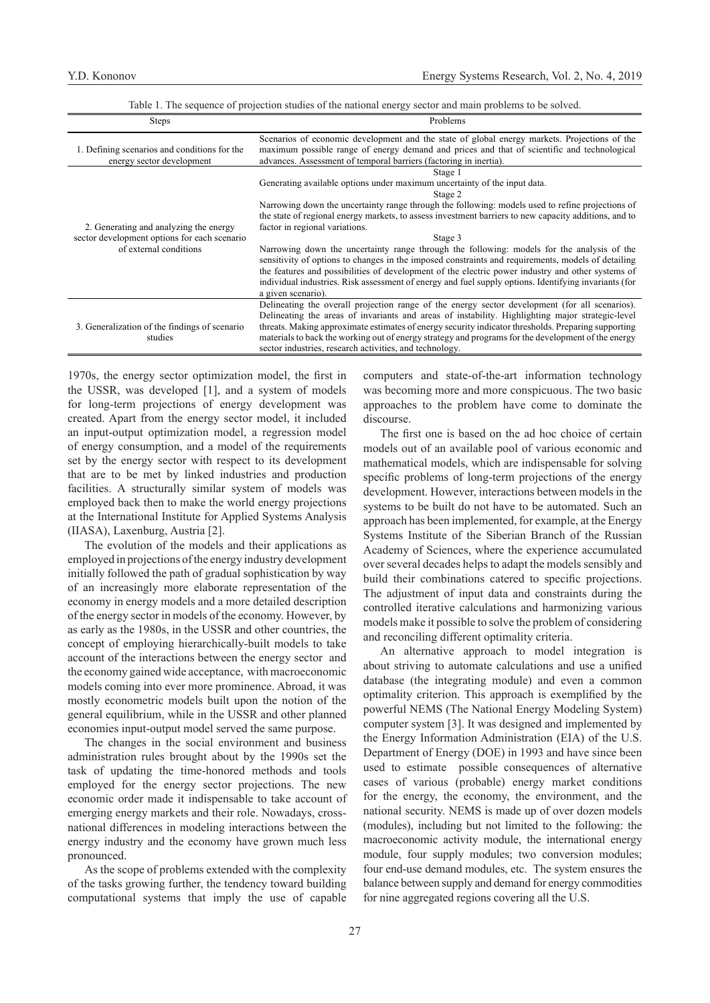|  |  | Table 1. The sequence of projection studies of the national energy sector and main problems to be solved. |  |  |
|--|--|-----------------------------------------------------------------------------------------------------------|--|--|
|  |  |                                                                                                           |  |  |

| <b>Steps</b>                                                                           | Problems                                                                                                                                                                                                                                                                                                                                                                                                                                                                    |  |  |  |  |
|----------------------------------------------------------------------------------------|-----------------------------------------------------------------------------------------------------------------------------------------------------------------------------------------------------------------------------------------------------------------------------------------------------------------------------------------------------------------------------------------------------------------------------------------------------------------------------|--|--|--|--|
| 1. Defining scenarios and conditions for the<br>energy sector development              | Scenarios of economic development and the state of global energy markets. Projections of the<br>maximum possible range of energy demand and prices and that of scientific and technological<br>advances. Assessment of temporal barriers (factoring in inertia).                                                                                                                                                                                                            |  |  |  |  |
|                                                                                        | Stage 1<br>Generating available options under maximum uncertainty of the input data.<br>Stage 2<br>Narrowing down the uncertainty range through the following: models used to refine projections of                                                                                                                                                                                                                                                                         |  |  |  |  |
| 2. Generating and analyzing the energy<br>sector development options for each scenario | the state of regional energy markets, to assess investment barriers to new capacity additions, and to<br>factor in regional variations.<br>Stage 3                                                                                                                                                                                                                                                                                                                          |  |  |  |  |
| of external conditions                                                                 | Narrowing down the uncertainty range through the following: models for the analysis of the<br>sensitivity of options to changes in the imposed constraints and requirements, models of detailing<br>the features and possibilities of development of the electric power industry and other systems of<br>individual industries. Risk assessment of energy and fuel supply options. Identifying invariants (for<br>a given scenario).                                        |  |  |  |  |
| 3. Generalization of the findings of scenario<br>studies                               | Delineating the overall projection range of the energy sector development (for all scenarios).<br>Delineating the areas of invariants and areas of instability. Highlighting major strategic-level<br>threats. Making approximate estimates of energy security indicator thresholds. Preparing supporting<br>materials to back the working out of energy strategy and programs for the development of the energy<br>sector industries, research activities, and technology. |  |  |  |  |

1970s, the energy sector optimization model, the first in the USSR, was developed [1], and a system of models for long-term projections of energy development was created. Apart from the energy sector model, it included an input-output optimization model, a regression model of energy consumption, and a model of the requirements set by the energy sector with respect to its development that are to be met by linked industries and production facilities. A structurally similar system of models was employed back then to make the world energy projections at the International Institute for Applied Systems Analysis (IIASA), Laxenburg, Austria [2].

The evolution of the models and their applications as employed in projections of the energy industry development initially followed the path of gradual sophistication by way of an increasingly more elaborate representation of the economy in energy models and a more detailed description of the energy sector in models of the economy. However, by as early as the 1980s, in the USSR and other countries, the concept of employing hierarchically-built models to take account of the interactions between the energy sector and the economy gained wide acceptance, with macroeconomic models coming into ever more prominence. Abroad, it was mostly econometric models built upon the notion of the general equilibrium, while in the USSR and other planned economies input-output model served the same purpose.

The changes in the social environment and business administration rules brought about by the 1990s set the task of updating the time-honored methods and tools employed for the energy sector projections. The new economic order made it indispensable to take account of emerging energy markets and their role. Nowadays, crossnational differences in modeling interactions between the energy industry and the economy have grown much less pronounced.

As the scope of problems extended with the complexity of the tasks growing further, the tendency toward building computational systems that imply the use of capable computers and state-of-the-art information technology was becoming more and more conspicuous. The two basic approaches to the problem have come to dominate the discourse.

The first one is based on the ad hoc choice of certain models out of an available pool of various economic and mathematical models, which are indispensable for solving specific problems of long-term projections of the energy development. However, interactions between models in the systems to be built do not have to be automated. Such an approach has been implemented, for example, at the Energy Systems Institute of the Siberian Branch of the Russian Academy of Sciences, where the experience accumulated over several decades helps to adapt the models sensibly and build their combinations catered to specific projections. The adjustment of input data and constraints during the controlled iterative calculations and harmonizing various models make it possible to solve the problem of considering and reconciling different optimality criteria.

An alternative approach to model integration is about striving to automate calculations and use a unified database (the integrating module) and even a common optimality criterion. This approach is exemplified by the powerful NEMS (The National Energy Modeling System) computer system [3]. It was designed and implemented by the Energy Information Administration (EIA) of the U.S. Department of Energy (DOE) in 1993 and have since been used to estimate possible consequences of alternative cases of various (probable) energy market conditions for the energy, the economy, the environment, and the national security. NEMS is made up of over dozen models (modules), including but not limited to the following: the macroeconomic activity module, the international energy module, four supply modules; two conversion modules; four end-use demand modules, etc. The system ensures the balance between supply and demand for energy commodities for nine aggregated regions covering all the U.S.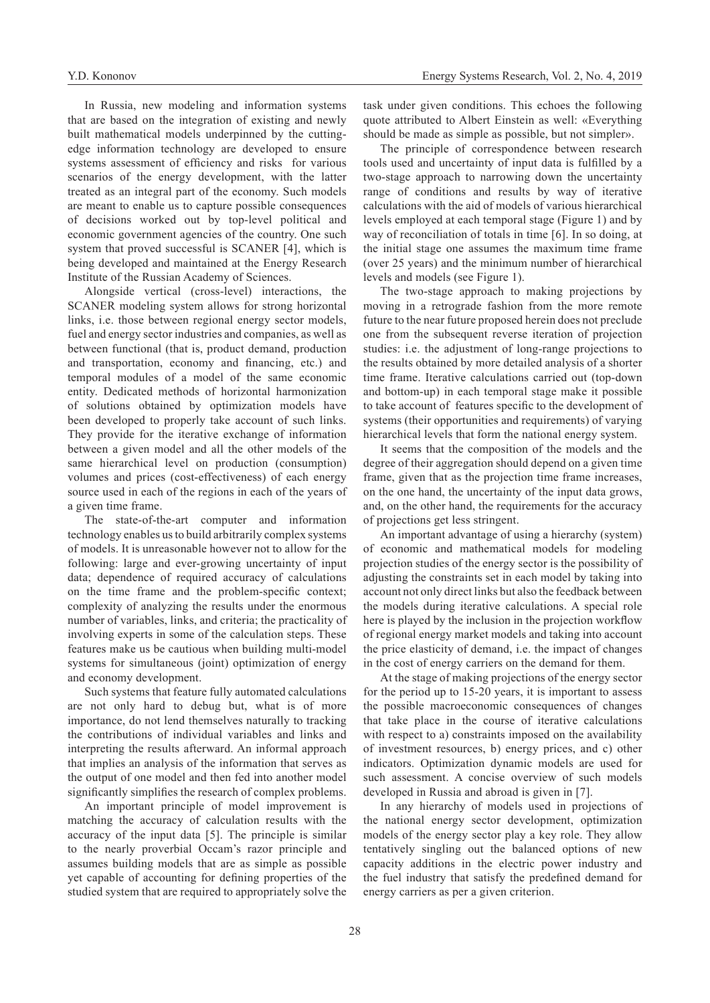In Russia, new modeling and information systems that are based on the integration of existing and newly built mathematical models underpinned by the cuttingedge information technology are developed to ensure systems assessment of efficiency and risks for various scenarios of the energy development, with the latter treated as an integral part of the economy. Such models are meant to enable us to capture possible consequences of decisions worked out by top-level political and economic government agencies of the country. One such system that proved successful is SCANER [4], which is being developed and maintained at the Energy Research Institute of the Russian Academy of Sciences.

Alongside vertical (cross-level) interactions, the SCANER modeling system allows for strong horizontal links, i.e. those between regional energy sector models, fuel and energy sector industries and companies, as well as between functional (that is, product demand, production and transportation, economy and financing, etc.) and temporal modules of a model of the same economic entity. Dedicated methods of horizontal harmonization of solutions obtained by optimization models have been developed to properly take account of such links. They provide for the iterative exchange of information between a given model and all the other models of the same hierarchical level on production (consumption) volumes and prices (cost-effectiveness) of each energy source used in each of the regions in each of the years of a given time frame.

The state-of-the-art computer and information technology enables us to build arbitrarily complex systems of models. It is unreasonable however not to allow for the following: large and ever-growing uncertainty of input data; dependence of required accuracy of calculations on the time frame and the problem-specific context; complexity of analyzing the results under the enormous number of variables, links, and criteria; the practicality of involving experts in some of the calculation steps. These features make us be cautious when building multi-model systems for simultaneous (joint) optimization of energy and economy development.

Such systems that feature fully automated calculations are not only hard to debug but, what is of more importance, do not lend themselves naturally to tracking the contributions of individual variables and links and interpreting the results afterward. An informal approach that implies an analysis of the information that serves as the output of one model and then fed into another model significantly simplifies the research of complex problems.

An important principle of model improvement is matching the accuracy of calculation results with the accuracy of the input data [5]. The principle is similar to the nearly proverbial Occam's razor principle and assumes building models that are as simple as possible yet capable of accounting for defining properties of the studied system that are required to appropriately solve the

task under given conditions. This echoes the following quote attributed to Albert Einstein as well: «Everything should be made as simple as possible, but not simpler».

The principle of correspondence between research tools used and uncertainty of input data is fulfilled by a two-stage approach to narrowing down the uncertainty range of conditions and results by way of iterative calculations with the aid of models of various hierarchical levels employed at each temporal stage (Figure 1) and by way of reconciliation of totals in time [6]. In so doing, at the initial stage one assumes the maximum time frame (over 25 years) and the minimum number of hierarchical levels and models (see Figure 1).

The two-stage approach to making projections by moving in a retrograde fashion from the more remote future to the near future proposed herein does not preclude one from the subsequent reverse iteration of projection studies: i.e. the adjustment of long-range projections to the results obtained by more detailed analysis of a shorter time frame. Iterative calculations carried out (top-down and bottom-up) in each temporal stage make it possible to take account of features specific to the development of systems (their opportunities and requirements) of varying hierarchical levels that form the national energy system.

It seems that the composition of the models and the degree of their aggregation should depend on a given time frame, given that as the projection time frame increases, on the one hand, the uncertainty of the input data grows, and, on the other hand, the requirements for the accuracy of projections get less stringent.

An important advantage of using a hierarchy (system) of economic and mathematical models for modeling projection studies of the energy sector is the possibility of adjusting the constraints set in each model by taking into account not only direct links but also the feedback between the models during iterative calculations. A special role here is played by the inclusion in the projection workflow of regional energy market models and taking into account the price elasticity of demand, i.e. the impact of changes in the cost of energy carriers on the demand for them.

At the stage of making projections of the energy sector for the period up to 15-20 years, it is important to assess the possible macroeconomic consequences of changes that take place in the course of iterative calculations with respect to a) constraints imposed on the availability of investment resources, b) energy prices, and c) other indicators. Optimization dynamic models are used for such assessment. A concise overview of such models developed in Russia and abroad is given in [7].

In any hierarchy of models used in projections of the national energy sector development, optimization models of the energy sector play a key role. They allow tentatively singling out the balanced options of new capacity additions in the electric power industry and the fuel industry that satisfy the predefined demand for energy carriers as per a given criterion.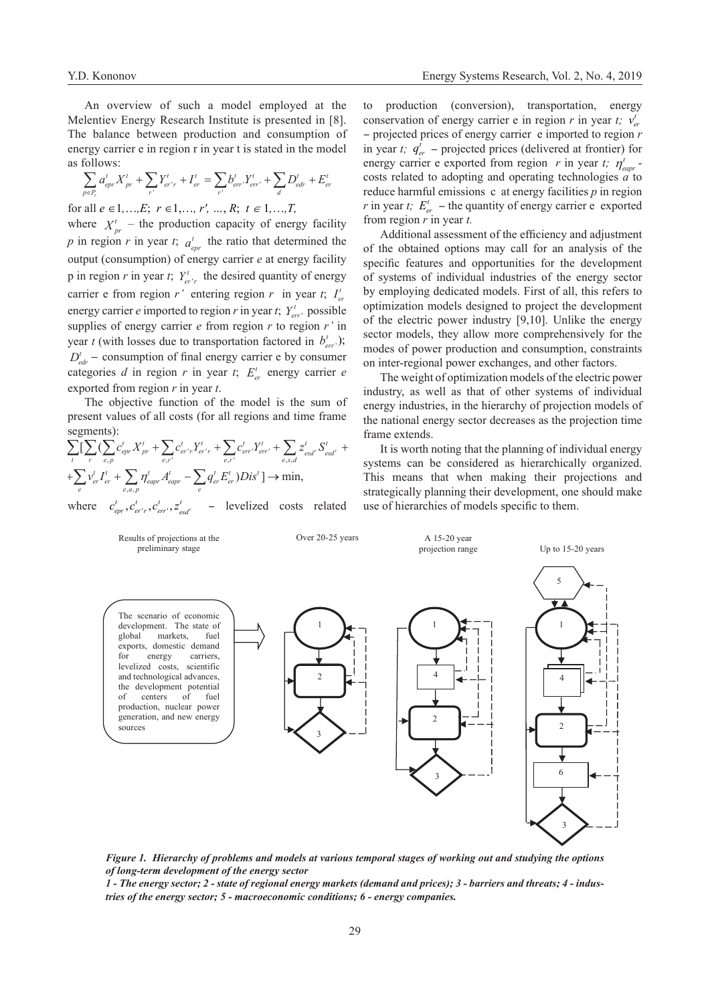An overview of such a model employed at the Melentiev Energy Research Institute is presented in [8]. The balance between production and consumption of energy carrier e in region r in year t is stated in the model as follows:

$$
\sum_{p \in P_r} a_{epr}^t X_{pr}^t + \sum_{r'} Y_{er'r}^t + I_{er}^t = \sum_{r'} b_{err'}^t Y_{err'}^t + \sum_{d} D_{edr}^t + E_{er}^t
$$

for all  $e \in 1, ..., E$ ;  $r \in 1, ..., r'$ , …,  $R$ ;  $t \in 1, ..., T$ ,

where  $X_{pr}^t$  – the production capacity of energy facility *p* in region *r* in year *t*;  $a_{epr}$  the ratio that determined the output (consumption) of energy carrier *e* at energy facility p in region *r* in year *t*;  $Y_{er'r}^t$  the desired quantity of energy carrier e from region *r'* entering region *r* in year *t*;  $I_{er}^t$ energy carrier *e* imported to region *r* in year *t*;  $Y_{err}^t$  possible supplies of energy carrier *e* from region *r* to region *r'* in year *t* (with losses due to transportation factored in  $b_{err}^t$ );  $D_{\text{edr}}^t$  – consumption of final energy carrier e by consumer categories *d* in region *r* in year *t*;  $E_{cr}^{t}$  energy carrier *e* exported from region *r* in year *t*.

The objective function of the model is the sum of present values of all costs (for all regions and time frame segments):

$$
\sum_{t} \sum_{e} \sum_{e,p} \sum_{c,p} c'_{epr} X_{pr}^{t} + \sum_{e,r'} c'_{er'r} Y_{er'r}^{t} + \sum_{e,r'} c'_{err'} Y_{err'}^{t} + \sum_{e,s,d} z'_{esd'} S_{esd'}^{t} +
$$
  
+
$$
\sum_{e} v_{er}^{t} I_{er}^{t} + \sum_{e,a,p} \eta'_{eapr} A'_{eapr} - \sum_{e} q_{er}^{t} E_{er}^{t} Dis' \rightarrow \min,
$$
  
where  $c'_{epr}, c'_{er'r}, c'_{err'}, z'_{esd'} - \text{levelized costs related}$ 

to production (conversion), transportation, energy conservation of energy carrier e in region *r* in year *t*;  $v_e^t$ - projected prices of energy carrier е imported to region *r* in year *t*;  $q_{er}^t$  – projected prices (delivered at frontier) for energy carrier e exported from region *r* in year *t*;  $\eta_{\text{eavr}}^t$ costs related to adopting and operating technologies *a* to reduce harmful emissions с at energy facilities *p* in region *r* in year *t*;  $E_{er}^{t}$  – the quantity of energy carrier e exported from region *r* in year *t.*

Additional assessment of the efficiency and adjustment of the obtained options may call for an analysis of the specific features and opportunities for the development of systems of individual industries of the energy sector by employing dedicated models. First of all, this refers to optimization models designed to project the development of the electric power industry [9,10]. Unlike the energy sector models, they allow more comprehensively for the modes of power production and consumption, constraints on inter-regional power exchanges, and other factors.

The weight of optimization models of the electric power industry, as well as that of other systems of individual energy industries, in the hierarchy of projection models of the national energy sector decreases as the projection time frame extends.

It is worth noting that the planning of individual energy systems can be considered as hierarchically organized. This means that when making their projections and strategically planning their development, one should make use of hierarchies of models specific to them.



*Figure 1. Hierarchy of problems and models at various temporal stages of working out and studying the options of long-term development of the energy sector*

*1 - The energy sector; 2 - state of regional energy markets (demand and prices); 3 - barriers and threats; 4 - industries of the energy sector; 5 - macroeconomic conditions; 6 - energy companies.*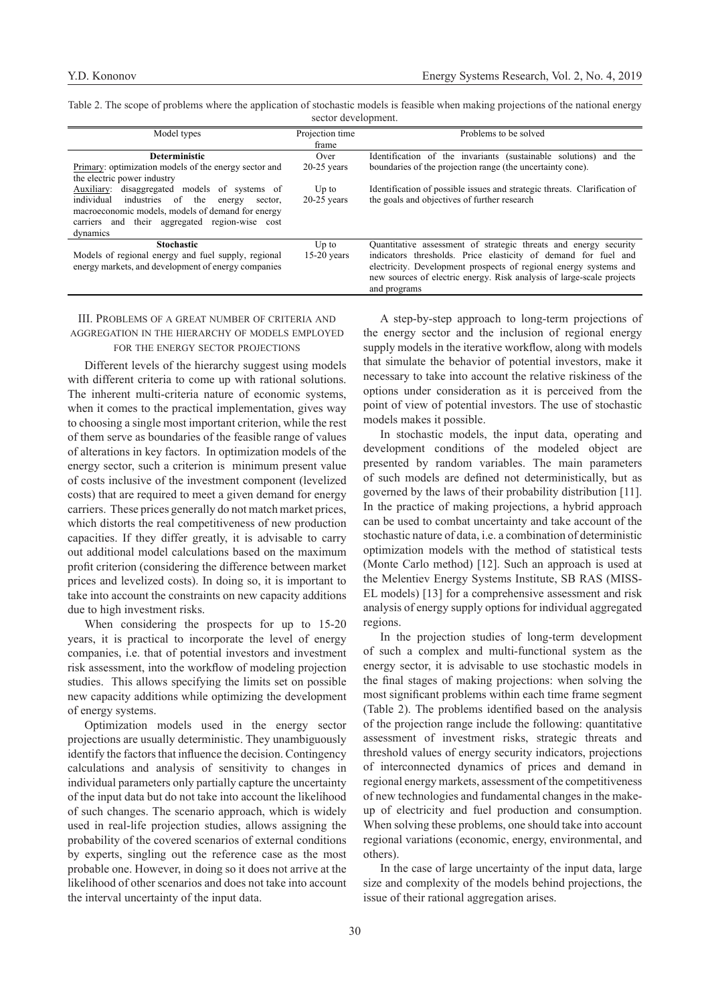Table 2. The scope of problems where the application of stochastic models is feasible when making projections of the national energy sector development.

| Model types                                                                                                  | Projection time<br>frame | Problems to be solved                                                     |  |  |
|--------------------------------------------------------------------------------------------------------------|--------------------------|---------------------------------------------------------------------------|--|--|
| <b>Deterministic</b>                                                                                         | Over                     | Identification of the invariants (sustainable solutions) and the          |  |  |
| Primary: optimization models of the energy sector and                                                        | $20-25$ years            | boundaries of the projection range (the uncertainty cone).                |  |  |
| the electric power industry                                                                                  |                          |                                                                           |  |  |
| disaggregated models of systems of<br>Auxiliary:                                                             | $Up$ to                  | Identification of possible issues and strategic threats. Clarification of |  |  |
| industries of<br>individual<br>the<br>energy<br>sector.<br>macroeconomic models, models of demand for energy | $20-25$ years            | the goals and objectives of further research                              |  |  |
| carriers and their aggregated region-wise cost                                                               |                          |                                                                           |  |  |
| dynamics                                                                                                     |                          |                                                                           |  |  |
| <b>Stochastic</b>                                                                                            | $Up$ to                  | Quantitative assessment of strategic threats and energy security          |  |  |
| Models of regional energy and fuel supply, regional                                                          | $15-20$ years            | indicators thresholds. Price elasticity of demand for fuel and            |  |  |
| energy markets, and development of energy companies                                                          |                          | electricity. Development prospects of regional energy systems and         |  |  |
|                                                                                                              |                          | new sources of electric energy. Risk analysis of large-scale projects     |  |  |
|                                                                                                              |                          | and programs                                                              |  |  |

## III. Problems of a great number of criteria and aggregation in the hierarchy of models employed for the energy sector projections

Different levels of the hierarchy suggest using models with different criteria to come up with rational solutions. The inherent multi-criteria nature of economic systems, when it comes to the practical implementation, gives way to choosing a single most important criterion, while the rest of them serve as boundaries of the feasible range of values of alterations in key factors. In optimization models of the energy sector, such a criterion is minimum present value of costs inclusive of the investment component (levelized costs) that are required to meet a given demand for energy carriers. These prices generally do not match market prices, which distorts the real competitiveness of new production capacities. If they differ greatly, it is advisable to carry out additional model calculations based on the maximum profit criterion (considering the difference between market prices and levelized costs). In doing so, it is important to take into account the constraints on new capacity additions due to high investment risks.

When considering the prospects for up to 15-20 years, it is practical to incorporate the level of energy companies, i.e. that of potential investors and investment risk assessment, into the workflow of modeling projection studies. This allows specifying the limits set on possible new capacity additions while optimizing the development of energy systems.

Optimization models used in the energy sector projections are usually deterministic. They unambiguously identify the factors that influence the decision. Contingency calculations and analysis of sensitivity to changes in individual parameters only partially capture the uncertainty of the input data but do not take into account the likelihood of such changes. The scenario approach, which is widely used in real-life projection studies, allows assigning the probability of the covered scenarios of external conditions by experts, singling out the reference case as the most probable one. However, in doing so it does not arrive at the likelihood of other scenarios and does not take into account the interval uncertainty of the input data.

A step-by-step approach to long-term projections of the energy sector and the inclusion of regional energy supply models in the iterative workflow, along with models that simulate the behavior of potential investors, make it necessary to take into account the relative riskiness of the options under consideration as it is perceived from the point of view of potential investors. The use of stochastic models makes it possible.

In stochastic models, the input data, operating and development conditions of the modeled object are presented by random variables. The main parameters of such models are defined not deterministically, but as governed by the laws of their probability distribution [11]. In the practice of making projections, a hybrid approach can be used to combat uncertainty and take account of the stochastic nature of data, i.e. a combination of deterministic optimization models with the method of statistical tests (Monte Carlo method) [12]. Such an approach is used at the Melentiev Energy Systems Institute, SB RAS (MISS-EL models) [13] for a comprehensive assessment and risk analysis of energy supply options for individual aggregated regions.

In the projection studies of long-term development of such a complex and multi-functional system as the energy sector, it is advisable to use stochastic models in the final stages of making projections: when solving the most significant problems within each time frame segment (Table 2). The problems identified based on the analysis of the projection range include the following: quantitative assessment of investment risks, strategic threats and threshold values of energy security indicators, projections of interconnected dynamics of prices and demand in regional energy markets, assessment of the competitiveness of new technologies and fundamental changes in the makeup of electricity and fuel production and consumption. When solving these problems, one should take into account regional variations (economic, energy, environmental, and others).

In the case of large uncertainty of the input data, large size and complexity of the models behind projections, the issue of their rational aggregation arises.